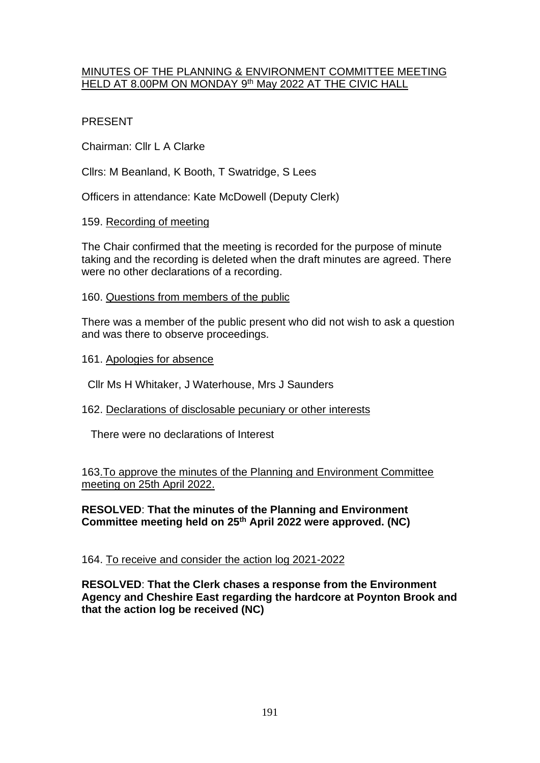#### MINUTES OF THE PLANNING & ENVIRONMENT COMMITTEE MEETING <u>HELD AT 8.00PM ON MONDAY 9th May 2022 AT THE CIVIC HALL</u>

## PRESENT

Chairman: Cllr L A Clarke

Cllrs: M Beanland, K Booth, T Swatridge, S Lees

Officers in attendance: Kate McDowell (Deputy Clerk)

## 159. Recording of meeting

The Chair confirmed that the meeting is recorded for the purpose of minute taking and the recording is deleted when the draft minutes are agreed. There were no other declarations of a recording.

## 160. Questions from members of the public

There was a member of the public present who did not wish to ask a question and was there to observe proceedings.

161. Apologies for absence

Cllr Ms H Whitaker, J Waterhouse, Mrs J Saunders

# 162. Declarations of disclosable pecuniary or other interests

There were no declarations of Interest

## 163.To approve the minutes of the Planning and Environment Committee meeting on 25th April 2022.

## **RESOLVED**: **That the minutes of the Planning and Environment Committee meeting held on 25th April 2022 were approved. (NC)**

# 164. To receive and consider the action log 2021-2022

**RESOLVED**: **That the Clerk chases a response from the Environment Agency and Cheshire East regarding the hardcore at Poynton Brook and that the action log be received (NC)**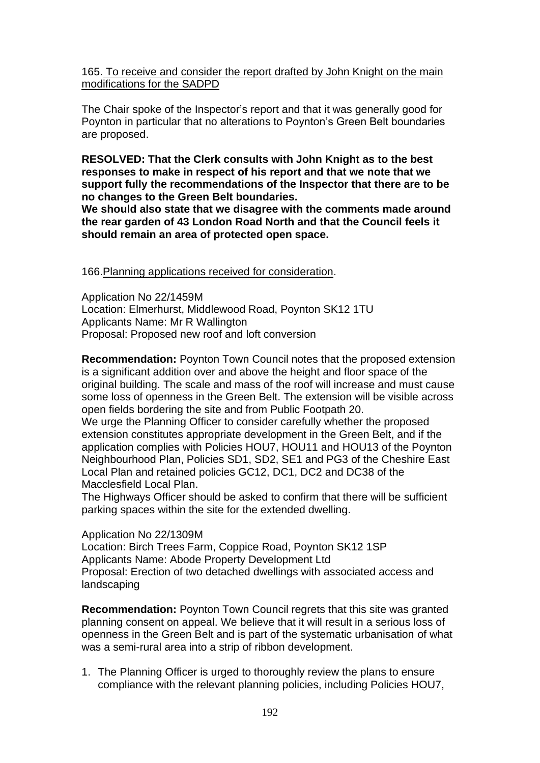165. To receive and consider the report drafted by John Knight on the main modifications for the SADPD

The Chair spoke of the Inspector's report and that it was generally good for Poynton in particular that no alterations to Poynton's Green Belt boundaries are proposed.

**RESOLVED: That the Clerk consults with John Knight as to the best responses to make in respect of his report and that we note that we support fully the recommendations of the Inspector that there are to be no changes to the Green Belt boundaries.**

**We should also state that we disagree with the comments made around the rear garden of 43 London Road North and that the Council feels it should remain an area of protected open space.**

166.Planning applications received for consideration.

Application No 22/1459M Location: Elmerhurst, Middlewood Road, Poynton SK12 1TU Applicants Name: Mr R Wallington Proposal: Proposed new roof and loft conversion

**Recommendation:** Poynton Town Council notes that the proposed extension is a significant addition over and above the height and floor space of the original building. The scale and mass of the roof will increase and must cause some loss of openness in the Green Belt. The extension will be visible across open fields bordering the site and from Public Footpath 20.

We urge the Planning Officer to consider carefully whether the proposed extension constitutes appropriate development in the Green Belt, and if the application complies with Policies HOU7, HOU11 and HOU13 of the Poynton Neighbourhood Plan, Policies SD1, SD2, SE1 and PG3 of the Cheshire East Local Plan and retained policies GC12, DC1, DC2 and DC38 of the Macclesfield Local Plan.

The Highways Officer should be asked to confirm that there will be sufficient parking spaces within the site for the extended dwelling.

## Application No 22/1309M

Location: Birch Trees Farm, Coppice Road, Poynton SK12 1SP Applicants Name: Abode Property Development Ltd Proposal: Erection of two detached dwellings with associated access and landscaping

**Recommendation:** Poynton Town Council regrets that this site was granted planning consent on appeal. We believe that it will result in a serious loss of openness in the Green Belt and is part of the systematic urbanisation of what was a semi-rural area into a strip of ribbon development.

1. The Planning Officer is urged to thoroughly review the plans to ensure compliance with the relevant planning policies, including Policies HOU7,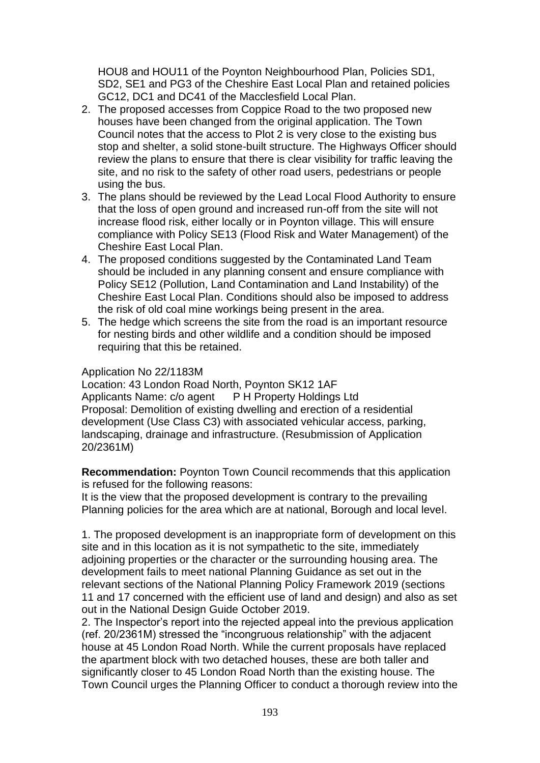HOU8 and HOU11 of the Poynton Neighbourhood Plan, Policies SD1, SD2, SE1 and PG3 of the Cheshire East Local Plan and retained policies GC12, DC1 and DC41 of the Macclesfield Local Plan.

- 2. The proposed accesses from Coppice Road to the two proposed new houses have been changed from the original application. The Town Council notes that the access to Plot 2 is very close to the existing bus stop and shelter, a solid stone-built structure. The Highways Officer should review the plans to ensure that there is clear visibility for traffic leaving the site, and no risk to the safety of other road users, pedestrians or people using the bus.
- 3. The plans should be reviewed by the Lead Local Flood Authority to ensure that the loss of open ground and increased run-off from the site will not increase flood risk, either locally or in Poynton village. This will ensure compliance with Policy SE13 (Flood Risk and Water Management) of the Cheshire East Local Plan.
- 4. The proposed conditions suggested by the Contaminated Land Team should be included in any planning consent and ensure compliance with Policy SE12 (Pollution, Land Contamination and Land Instability) of the Cheshire East Local Plan. Conditions should also be imposed to address the risk of old coal mine workings being present in the area.
- 5. The hedge which screens the site from the road is an important resource for nesting birds and other wildlife and a condition should be imposed requiring that this be retained.

#### Application No 22/1183M

Location: 43 London Road North, Poynton SK12 1AF Applicants Name: c/o agent P H Property Holdings Ltd Proposal: Demolition of existing dwelling and erection of a residential development (Use Class C3) with associated vehicular access, parking, landscaping, drainage and infrastructure. (Resubmission of Application 20/2361M)

**Recommendation:** Poynton Town Council recommends that this application is refused for the following reasons:

It is the view that the proposed development is contrary to the prevailing Planning policies for the area which are at national, Borough and local level.

1. The proposed development is an inappropriate form of development on this site and in this location as it is not sympathetic to the site, immediately adjoining properties or the character or the surrounding housing area. The development fails to meet national Planning Guidance as set out in the relevant sections of the National Planning Policy Framework 2019 (sections 11 and 17 concerned with the efficient use of land and design) and also as set out in the National Design Guide October 2019.

2. The Inspector's report into the rejected appeal into the previous application (ref. 20/2361M) stressed the "incongruous relationship" with the adjacent house at 45 London Road North. While the current proposals have replaced the apartment block with two detached houses, these are both taller and significantly closer to 45 London Road North than the existing house. The Town Council urges the Planning Officer to conduct a thorough review into the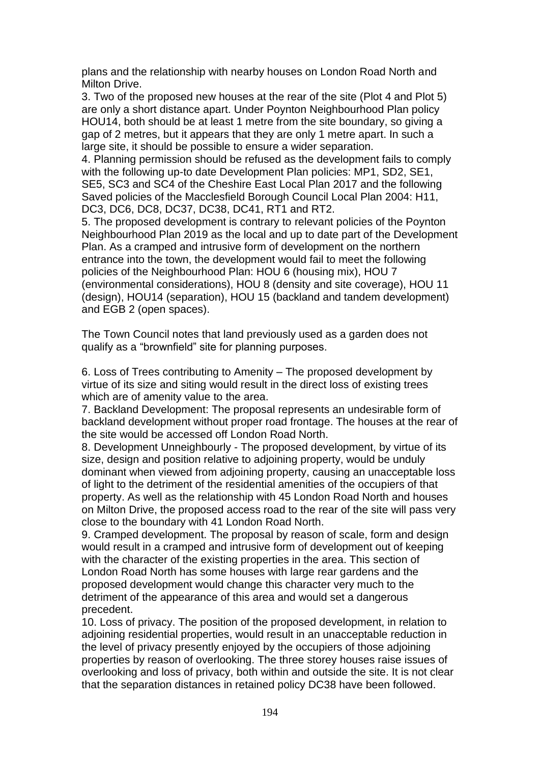plans and the relationship with nearby houses on London Road North and Milton Drive.

3. Two of the proposed new houses at the rear of the site (Plot 4 and Plot 5) are only a short distance apart. Under Poynton Neighbourhood Plan policy HOU14, both should be at least 1 metre from the site boundary, so giving a gap of 2 metres, but it appears that they are only 1 metre apart. In such a large site, it should be possible to ensure a wider separation.

4. Planning permission should be refused as the development fails to comply with the following up-to date Development Plan policies: MP1, SD2, SE1, SE5, SC3 and SC4 of the Cheshire East Local Plan 2017 and the following Saved policies of the Macclesfield Borough Council Local Plan 2004: H11, DC3, DC6, DC8, DC37, DC38, DC41, RT1 and RT2.

5. The proposed development is contrary to relevant policies of the Poynton Neighbourhood Plan 2019 as the local and up to date part of the Development Plan. As a cramped and intrusive form of development on the northern entrance into the town, the development would fail to meet the following policies of the Neighbourhood Plan: HOU 6 (housing mix), HOU 7 (environmental considerations), HOU 8 (density and site coverage), HOU 11 (design), HOU14 (separation), HOU 15 (backland and tandem development) and EGB 2 (open spaces).

The Town Council notes that land previously used as a garden does not qualify as a "brownfield" site for planning purposes.

6. Loss of Trees contributing to Amenity – The proposed development by virtue of its size and siting would result in the direct loss of existing trees which are of amenity value to the area.

7. Backland Development: The proposal represents an undesirable form of backland development without proper road frontage. The houses at the rear of the site would be accessed off London Road North.

8. Development Unneighbourly - The proposed development, by virtue of its size, design and position relative to adjoining property, would be unduly dominant when viewed from adjoining property, causing an unacceptable loss of light to the detriment of the residential amenities of the occupiers of that property. As well as the relationship with 45 London Road North and houses on Milton Drive, the proposed access road to the rear of the site will pass very close to the boundary with 41 London Road North.

9. Cramped development. The proposal by reason of scale, form and design would result in a cramped and intrusive form of development out of keeping with the character of the existing properties in the area. This section of London Road North has some houses with large rear gardens and the proposed development would change this character very much to the detriment of the appearance of this area and would set a dangerous precedent.

10. Loss of privacy. The position of the proposed development, in relation to adjoining residential properties, would result in an unacceptable reduction in the level of privacy presently enjoyed by the occupiers of those adjoining properties by reason of overlooking. The three storey houses raise issues of overlooking and loss of privacy, both within and outside the site. It is not clear that the separation distances in retained policy DC38 have been followed.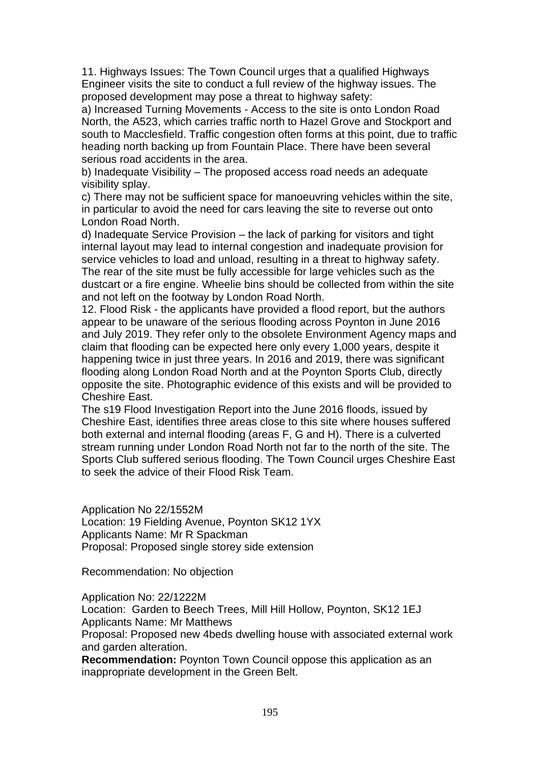11. Highways Issues: The Town Council urges that a qualified Highways Engineer visits the site to conduct a full review of the highway issues. The proposed development may pose a threat to highway safety:

a) Increased Turning Movements - Access to the site is onto London Road North, the A523, which carries traffic north to Hazel Grove and Stockport and south to Macclesfield. Traffic congestion often forms at this point, due to traffic heading north backing up from Fountain Place. There have been several serious road accidents in the area.

b) Inadequate Visibility – The proposed access road needs an adequate visibility splay.

c) There may not be sufficient space for manoeuvring vehicles within the site, in particular to avoid the need for cars leaving the site to reverse out onto London Road North.

d) Inadequate Service Provision – the lack of parking for visitors and tight internal layout may lead to internal congestion and inadequate provision for service vehicles to load and unload, resulting in a threat to highway safety. The rear of the site must be fully accessible for large vehicles such as the dustcart or a fire engine. Wheelie bins should be collected from within the site and not left on the footway by London Road North.

12. Flood Risk - the applicants have provided a flood report, but the authors appear to be unaware of the serious flooding across Poynton in June 2016 and July 2019. They refer only to the obsolete Environment Agency maps and claim that flooding can be expected here only every 1,000 years, despite it happening twice in just three years. In 2016 and 2019, there was significant flooding along London Road North and at the Poynton Sports Club, directly opposite the site. Photographic evidence of this exists and will be provided to Cheshire East.

The s19 Flood Investigation Report into the June 2016 floods, issued by Cheshire East, identifies three areas close to this site where houses suffered both external and internal flooding (areas F, G and H). There is a culverted stream running under London Road North not far to the north of the site. The Sports Club suffered serious flooding. The Town Council urges Cheshire East to seek the advice of their Flood Risk Team.

Application No 22/1552M Location: 19 Fielding Avenue, Poynton SK12 1YX Applicants Name: Mr R Spackman Proposal: Proposed single storey side extension

Recommendation: No objection

Application No: 22/1222M

Location: Garden to Beech Trees, Mill Hill Hollow, Poynton, SK12 1EJ Applicants Name: Mr Matthews

Proposal: Proposed new 4beds dwelling house with associated external work and garden alteration.

**Recommendation:** Poynton Town Council oppose this application as an inappropriate development in the Green Belt.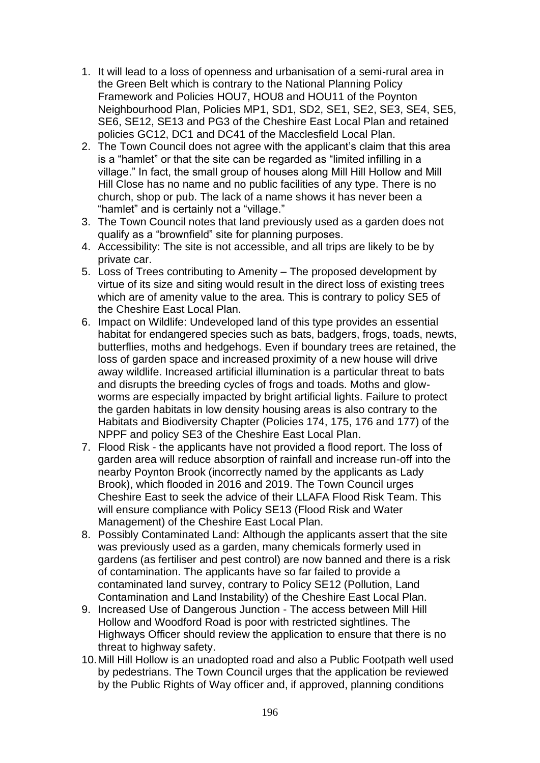- 1. It will lead to a loss of openness and urbanisation of a semi-rural area in the Green Belt which is contrary to the National Planning Policy Framework and Policies HOU7, HOU8 and HOU11 of the Poynton Neighbourhood Plan, Policies MP1, SD1, SD2, SE1, SE2, SE3, SE4, SE5, SE6, SE12, SE13 and PG3 of the Cheshire East Local Plan and retained policies GC12, DC1 and DC41 of the Macclesfield Local Plan.
- 2. The Town Council does not agree with the applicant's claim that this area is a "hamlet" or that the site can be regarded as "limited infilling in a village." In fact, the small group of houses along Mill Hill Hollow and Mill Hill Close has no name and no public facilities of any type. There is no church, shop or pub. The lack of a name shows it has never been a "hamlet" and is certainly not a "village."
- 3. The Town Council notes that land previously used as a garden does not qualify as a "brownfield" site for planning purposes.
- 4. Accessibility: The site is not accessible, and all trips are likely to be by private car.
- 5. Loss of Trees contributing to Amenity The proposed development by virtue of its size and siting would result in the direct loss of existing trees which are of amenity value to the area. This is contrary to policy SE5 of the Cheshire East Local Plan.
- 6. Impact on Wildlife: Undeveloped land of this type provides an essential habitat for endangered species such as bats, badgers, frogs, toads, newts, butterflies, moths and hedgehogs. Even if boundary trees are retained, the loss of garden space and increased proximity of a new house will drive away wildlife. Increased artificial illumination is a particular threat to bats and disrupts the breeding cycles of frogs and toads. Moths and glowworms are especially impacted by bright artificial lights. Failure to protect the garden habitats in low density housing areas is also contrary to the Habitats and Biodiversity Chapter (Policies 174, 175, 176 and 177) of the NPPF and policy SE3 of the Cheshire East Local Plan.
- 7. Flood Risk the applicants have not provided a flood report. The loss of garden area will reduce absorption of rainfall and increase run-off into the nearby Poynton Brook (incorrectly named by the applicants as Lady Brook), which flooded in 2016 and 2019. The Town Council urges Cheshire East to seek the advice of their LLAFA Flood Risk Team. This will ensure compliance with Policy SE13 (Flood Risk and Water Management) of the Cheshire East Local Plan.
- 8. Possibly Contaminated Land: Although the applicants assert that the site was previously used as a garden, many chemicals formerly used in gardens (as fertiliser and pest control) are now banned and there is a risk of contamination. The applicants have so far failed to provide a contaminated land survey, contrary to Policy SE12 (Pollution, Land Contamination and Land Instability) of the Cheshire East Local Plan.
- 9. Increased Use of Dangerous Junction The access between Mill Hill Hollow and Woodford Road is poor with restricted sightlines. The Highways Officer should review the application to ensure that there is no threat to highway safety.
- 10.Mill Hill Hollow is an unadopted road and also a Public Footpath well used by pedestrians. The Town Council urges that the application be reviewed by the Public Rights of Way officer and, if approved, planning conditions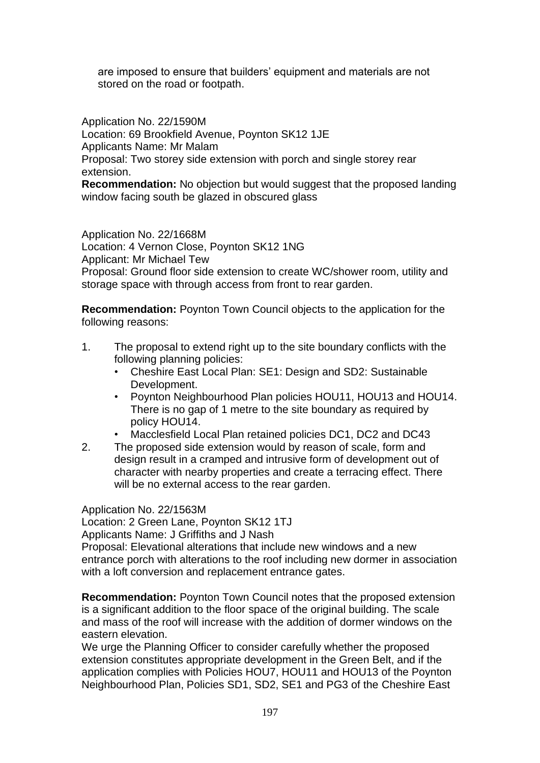are imposed to ensure that builders' equipment and materials are not stored on the road or footpath.

Application No. 22/1590M Location: 69 Brookfield Avenue, Poynton SK12 1JE Applicants Name: Mr Malam Proposal: Two storey side extension with porch and single storey rear extension.

**Recommendation:** No objection but would suggest that the proposed landing window facing south be glazed in obscured glass

Application No. 22/1668M Location: 4 Vernon Close, Poynton SK12 1NG Applicant: Mr Michael Tew Proposal: Ground floor side extension to create WC/shower room, utility and storage space with through access from front to rear garden.

**Recommendation:** Poynton Town Council objects to the application for the following reasons:

- 1. The proposal to extend right up to the site boundary conflicts with the following planning policies:
	- Cheshire East Local Plan: SE1: Design and SD2: Sustainable Development.
	- Poynton Neighbourhood Plan policies HOU11, HOU13 and HOU14. There is no gap of 1 metre to the site boundary as required by policy HOU14.
	- Macclesfield Local Plan retained policies DC1, DC2 and DC43
- 2. The proposed side extension would by reason of scale, form and design result in a cramped and intrusive form of development out of character with nearby properties and create a terracing effect. There will be no external access to the rear garden.

Application No. 22/1563M Location: 2 Green Lane, Poynton SK12 1TJ Applicants Name: J Griffiths and J Nash

Proposal: Elevational alterations that include new windows and a new entrance porch with alterations to the roof including new dormer in association with a loft conversion and replacement entrance gates.

**Recommendation:** Poynton Town Council notes that the proposed extension is a significant addition to the floor space of the original building. The scale and mass of the roof will increase with the addition of dormer windows on the eastern elevation.

We urge the Planning Officer to consider carefully whether the proposed extension constitutes appropriate development in the Green Belt, and if the application complies with Policies HOU7, HOU11 and HOU13 of the Poynton Neighbourhood Plan, Policies SD1, SD2, SE1 and PG3 of the Cheshire East